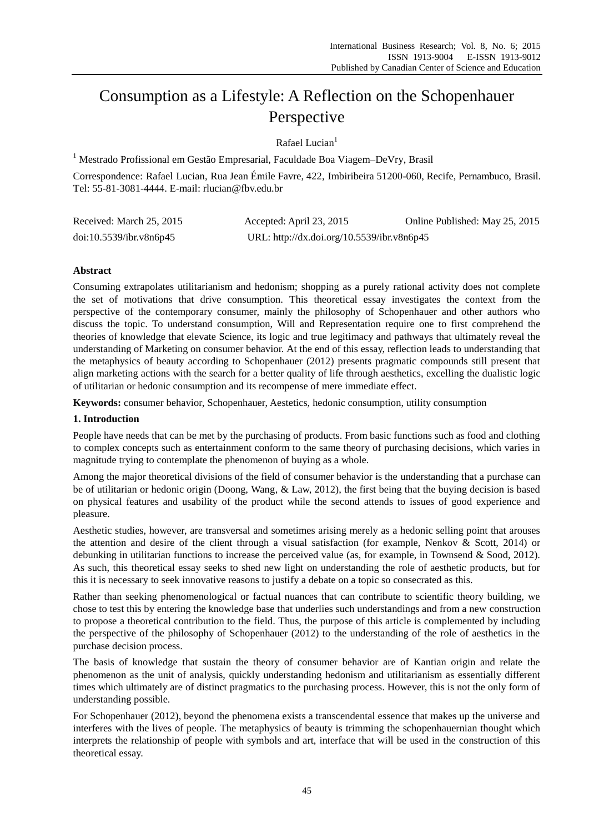# Consumption as a Lifestyle: A Reflection on the Schopenhauer Perspective

Rafael Lucian<sup>1</sup>

<sup>1</sup> Mestrado Profissional em Gestão Empresarial, Faculdade Boa Viagem–DeVry, Brasil

Correspondence: Rafael Lucian, Rua Jean Émile Favre, 422, Imbiribeira 51200-060, Recife, Pernambuco, Brasil. Tel: 55-81-3081-4444. E-mail: rlucian@fbv.edu.br

| Received: March 25, 2015 | Accepted: April 23, 2015                   | Online Published: May 25, 2015 |
|--------------------------|--------------------------------------------|--------------------------------|
| doi:10.5539/ibr.v8n6p45  | URL: http://dx.doi.org/10.5539/ibr.v8n6p45 |                                |

# **Abstract**

Consuming extrapolates utilitarianism and hedonism; shopping as a purely rational activity does not complete the set of motivations that drive consumption. This theoretical essay investigates the context from the perspective of the contemporary consumer, mainly the philosophy of Schopenhauer and other authors who discuss the topic. To understand consumption, Will and Representation require one to first comprehend the theories of knowledge that elevate Science, its logic and true legitimacy and pathways that ultimately reveal the understanding of Marketing on consumer behavior. At the end of this essay, reflection leads to understanding that the metaphysics of beauty according to Schopenhauer (2012) presents pragmatic compounds still present that align marketing actions with the search for a better quality of life through aesthetics, excelling the dualistic logic of utilitarian or hedonic consumption and its recompense of mere immediate effect.

**Keywords:** consumer behavior, Schopenhauer, Aestetics, hedonic consumption, utility consumption

# **1. Introduction**

People have needs that can be met by the purchasing of products. From basic functions such as food and clothing to complex concepts such as entertainment conform to the same theory of purchasing decisions, which varies in magnitude trying to contemplate the phenomenon of buying as a whole.

Among the major theoretical divisions of the field of consumer behavior is the understanding that a purchase can be of utilitarian or hedonic origin (Doong, Wang, & Law, 2012), the first being that the buying decision is based on physical features and usability of the product while the second attends to issues of good experience and pleasure.

Aesthetic studies, however, are transversal and sometimes arising merely as a hedonic selling point that arouses the attention and desire of the client through a visual satisfaction (for example, Nenkov & Scott, 2014) or debunking in utilitarian functions to increase the perceived value (as, for example, in Townsend & Sood, 2012). As such, this theoretical essay seeks to shed new light on understanding the role of aesthetic products, but for this it is necessary to seek innovative reasons to justify a debate on a topic so consecrated as this.

Rather than seeking phenomenological or factual nuances that can contribute to scientific theory building, we chose to test this by entering the knowledge base that underlies such understandings and from a new construction to propose a theoretical contribution to the field. Thus, the purpose of this article is complemented by including the perspective of the philosophy of Schopenhauer (2012) to the understanding of the role of aesthetics in the purchase decision process.

The basis of knowledge that sustain the theory of consumer behavior are of Kantian origin and relate the phenomenon as the unit of analysis, quickly understanding hedonism and utilitarianism as essentially different times which ultimately are of distinct pragmatics to the purchasing process. However, this is not the only form of understanding possible.

For Schopenhauer (2012), beyond the phenomena exists a transcendental essence that makes up the universe and interferes with the lives of people. The metaphysics of beauty is trimming the schopenhauernian thought which interprets the relationship of people with symbols and art, interface that will be used in the construction of this theoretical essay.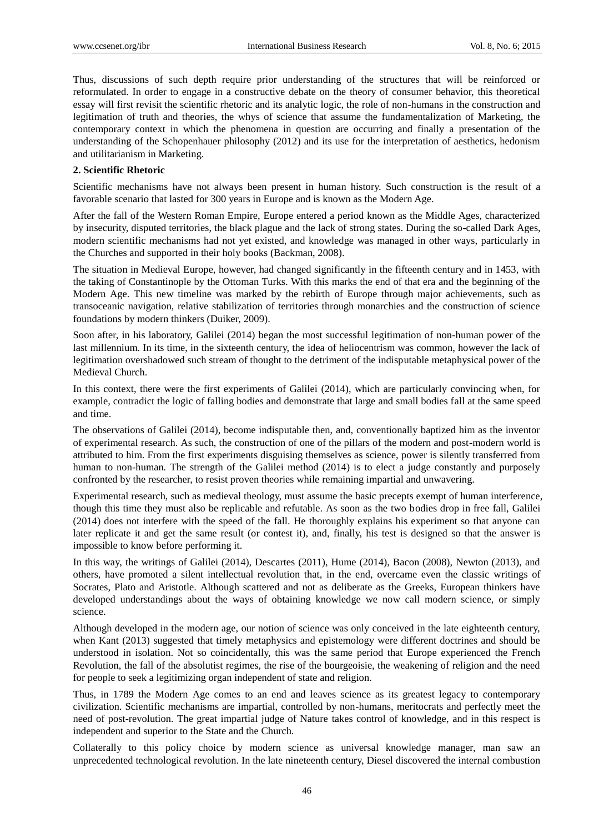Thus, discussions of such depth require prior understanding of the structures that will be reinforced or reformulated. In order to engage in a constructive debate on the theory of consumer behavior, this theoretical essay will first revisit the scientific rhetoric and its analytic logic, the role of non-humans in the construction and legitimation of truth and theories, the whys of science that assume the fundamentalization of Marketing, the contemporary context in which the phenomena in question are occurring and finally a presentation of the understanding of the Schopenhauer philosophy (2012) and its use for the interpretation of aesthetics, hedonism and utilitarianism in Marketing.

#### **2. Scientific Rhetoric**

Scientific mechanisms have not always been present in human history. Such construction is the result of a favorable scenario that lasted for 300 years in Europe and is known as the Modern Age.

After the fall of the Western Roman Empire, Europe entered a period known as the Middle Ages, characterized by insecurity, disputed territories, the black plague and the lack of strong states. During the so-called Dark Ages, modern scientific mechanisms had not yet existed, and knowledge was managed in other ways, particularly in the Churches and supported in their holy books (Backman, 2008).

The situation in Medieval Europe, however, had changed significantly in the fifteenth century and in 1453, with the taking of Constantinople by the Ottoman Turks. With this marks the end of that era and the beginning of the Modern Age. This new timeline was marked by the rebirth of Europe through major achievements, such as transoceanic navigation, relative stabilization of territories through monarchies and the construction of science foundations by modern thinkers (Duiker, 2009).

Soon after, in his laboratory, Galilei (2014) began the most successful legitimation of non-human power of the last millennium. In its time, in the sixteenth century, the idea of heliocentrism was common, however the lack of legitimation overshadowed such stream of thought to the detriment of the indisputable metaphysical power of the Medieval Church.

In this context, there were the first experiments of Galilei (2014), which are particularly convincing when, for example, contradict the logic of falling bodies and demonstrate that large and small bodies fall at the same speed and time.

The observations of Galilei (2014), become indisputable then, and, conventionally baptized him as the inventor of experimental research. As such, the construction of one of the pillars of the modern and post-modern world is attributed to him. From the first experiments disguising themselves as science, power is silently transferred from human to non-human. The strength of the Galilei method (2014) is to elect a judge constantly and purposely confronted by the researcher, to resist proven theories while remaining impartial and unwavering.

Experimental research, such as medieval theology, must assume the basic precepts exempt of human interference, though this time they must also be replicable and refutable. As soon as the two bodies drop in free fall, Galilei (2014) does not interfere with the speed of the fall. He thoroughly explains his experiment so that anyone can later replicate it and get the same result (or contest it), and, finally, his test is designed so that the answer is impossible to know before performing it.

In this way, the writings of Galilei (2014), Descartes (2011), Hume (2014), Bacon (2008), Newton (2013), and others, have promoted a silent intellectual revolution that, in the end, overcame even the classic writings of Socrates, Plato and Aristotle. Although scattered and not as deliberate as the Greeks, European thinkers have developed understandings about the ways of obtaining knowledge we now call modern science, or simply science.

Although developed in the modern age, our notion of science was only conceived in the late eighteenth century, when Kant (2013) suggested that timely metaphysics and epistemology were different doctrines and should be understood in isolation. Not so coincidentally, this was the same period that Europe experienced the French Revolution, the fall of the absolutist regimes, the rise of the bourgeoisie, the weakening of religion and the need for people to seek a legitimizing organ independent of state and religion.

Thus, in 1789 the Modern Age comes to an end and leaves science as its greatest legacy to contemporary civilization. Scientific mechanisms are impartial, controlled by non-humans, meritocrats and perfectly meet the need of post-revolution. The great impartial judge of Nature takes control of knowledge, and in this respect is independent and superior to the State and the Church.

Collaterally to this policy choice by modern science as universal knowledge manager, man saw an unprecedented technological revolution. In the late nineteenth century, Diesel discovered the internal combustion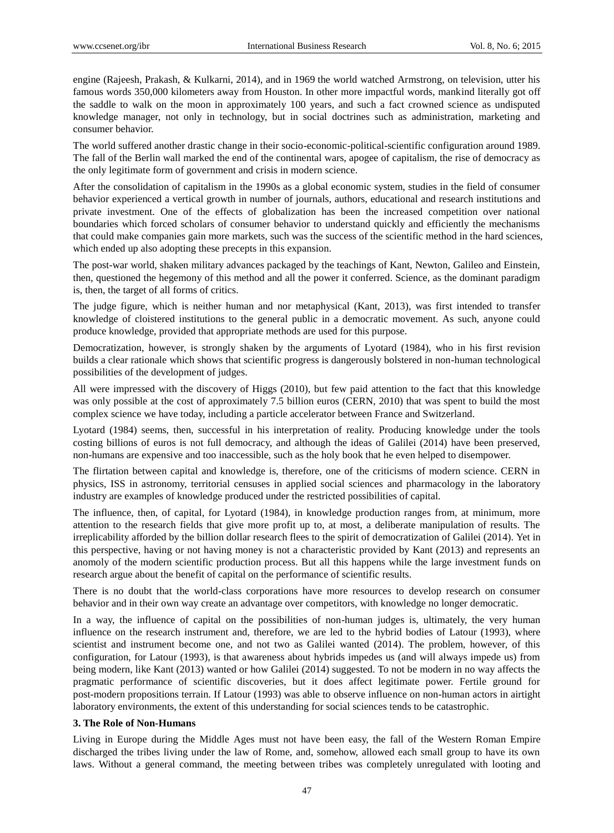engine (Rajeesh, Prakash, & Kulkarni, 2014), and in 1969 the world watched Armstrong, on television, utter his famous words 350,000 kilometers away from Houston. In other more impactful words, mankind literally got off the saddle to walk on the moon in approximately 100 years, and such a fact crowned science as undisputed knowledge manager, not only in technology, but in social doctrines such as administration, marketing and consumer behavior.

The world suffered another drastic change in their socio-economic-political-scientific configuration around 1989. The fall of the Berlin wall marked the end of the continental wars, apogee of capitalism, the rise of democracy as the only legitimate form of government and crisis in modern science.

After the consolidation of capitalism in the 1990s as a global economic system, studies in the field of consumer behavior experienced a vertical growth in number of journals, authors, educational and research institutions and private investment. One of the effects of globalization has been the increased competition over national boundaries which forced scholars of consumer behavior to understand quickly and efficiently the mechanisms that could make companies gain more markets, such was the success of the scientific method in the hard sciences, which ended up also adopting these precepts in this expansion.

The post-war world, shaken military advances packaged by the teachings of Kant, Newton, Galileo and Einstein, then, questioned the hegemony of this method and all the power it conferred. Science, as the dominant paradigm is, then, the target of all forms of critics.

The judge figure, which is neither human and nor metaphysical (Kant, 2013), was first intended to transfer knowledge of cloistered institutions to the general public in a democratic movement. As such, anyone could produce knowledge, provided that appropriate methods are used for this purpose.

Democratization, however, is strongly shaken by the arguments of Lyotard (1984), who in his first revision builds a clear rationale which shows that scientific progress is dangerously bolstered in non-human technological possibilities of the development of judges.

All were impressed with the discovery of Higgs (2010), but few paid attention to the fact that this knowledge was only possible at the cost of approximately 7.5 billion euros (CERN, 2010) that was spent to build the most complex science we have today, including a particle accelerator between France and Switzerland.

Lyotard (1984) seems, then, successful in his interpretation of reality. Producing knowledge under the tools costing billions of euros is not full democracy, and although the ideas of Galilei (2014) have been preserved, non-humans are expensive and too inaccessible, such as the holy book that he even helped to disempower.

The flirtation between capital and knowledge is, therefore, one of the criticisms of modern science. CERN in physics, ISS in astronomy, territorial censuses in applied social sciences and pharmacology in the laboratory industry are examples of knowledge produced under the restricted possibilities of capital.

The influence, then, of capital, for Lyotard (1984), in knowledge production ranges from, at minimum, more attention to the research fields that give more profit up to, at most, a deliberate manipulation of results. The irreplicability afforded by the billion dollar research flees to the spirit of democratization of Galilei (2014). Yet in this perspective, having or not having money is not a characteristic provided by Kant (2013) and represents an anomoly of the modern scientific production process. But all this happens while the large investment funds on research argue about the benefit of capital on the performance of scientific results.

There is no doubt that the world-class corporations have more resources to develop research on consumer behavior and in their own way create an advantage over competitors, with knowledge no longer democratic.

In a way, the influence of capital on the possibilities of non-human judges is, ultimately, the very human influence on the research instrument and, therefore, we are led to the hybrid bodies of Latour (1993), where scientist and instrument become one, and not two as Galilei wanted (2014). The problem, however, of this configuration, for Latour (1993), is that awareness about hybrids impedes us (and will always impede us) from being modern, like Kant (2013) wanted or how Galilei (2014) suggested. To not be modern in no way affects the pragmatic performance of scientific discoveries, but it does affect legitimate power. Fertile ground for post-modern propositions terrain. If Latour (1993) was able to observe influence on non-human actors in airtight laboratory environments, the extent of this understanding for social sciences tends to be catastrophic.

# **3. The Role of Non-Humans**

Living in Europe during the Middle Ages must not have been easy, the fall of the Western Roman Empire discharged the tribes living under the law of Rome, and, somehow, allowed each small group to have its own laws. Without a general command, the meeting between tribes was completely unregulated with looting and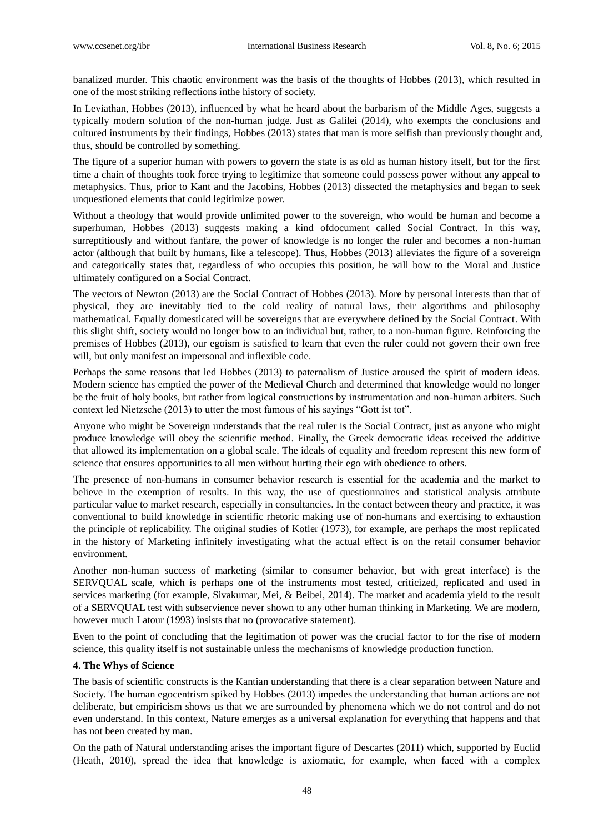banalized murder. This chaotic environment was the basis of the thoughts of Hobbes (2013), which resulted in one of the most striking reflections inthe history of society.

In Leviathan, Hobbes (2013), influenced by what he heard about the barbarism of the Middle Ages, suggests a typically modern solution of the non-human judge. Just as Galilei (2014), who exempts the conclusions and cultured instruments by their findings, Hobbes (2013) states that man is more selfish than previously thought and, thus, should be controlled by something.

The figure of a superior human with powers to govern the state is as old as human history itself, but for the first time a chain of thoughts took force trying to legitimize that someone could possess power without any appeal to metaphysics. Thus, prior to Kant and the Jacobins, Hobbes (2013) dissected the metaphysics and began to seek unquestioned elements that could legitimize power.

Without a theology that would provide unlimited power to the sovereign, who would be human and become a superhuman, Hobbes (2013) suggests making a kind ofdocument called Social Contract. In this way, surreptitiously and without fanfare, the power of knowledge is no longer the ruler and becomes a non-human actor (although that built by humans, like a telescope). Thus, Hobbes (2013) alleviates the figure of a sovereign and categorically states that, regardless of who occupies this position, he will bow to the Moral and Justice ultimately configured on a Social Contract.

The vectors of Newton (2013) are the Social Contract of Hobbes (2013). More by personal interests than that of physical, they are inevitably tied to the cold reality of natural laws, their algorithms and philosophy mathematical. Equally domesticated will be sovereigns that are everywhere defined by the Social Contract. With this slight shift, society would no longer bow to an individual but, rather, to a non-human figure. Reinforcing the premises of Hobbes (2013), our egoism is satisfied to learn that even the ruler could not govern their own free will, but only manifest an impersonal and inflexible code.

Perhaps the same reasons that led Hobbes (2013) to paternalism of Justice aroused the spirit of modern ideas. Modern science has emptied the power of the Medieval Church and determined that knowledge would no longer be the fruit of holy books, but rather from logical constructions by instrumentation and non-human arbiters. Such context led Nietzsche (2013) to utter the most famous of his sayings "Gott ist tot".

Anyone who might be Sovereign understands that the real ruler is the Social Contract, just as anyone who might produce knowledge will obey the scientific method. Finally, the Greek democratic ideas received the additive that allowed its implementation on a global scale. The ideals of equality and freedom represent this new form of science that ensures opportunities to all men without hurting their ego with obedience to others.

The presence of non-humans in consumer behavior research is essential for the academia and the market to believe in the exemption of results. In this way, the use of questionnaires and statistical analysis attribute particular value to market research, especially in consultancies. In the contact between theory and practice, it was conventional to build knowledge in scientific rhetoric making use of non-humans and exercising to exhaustion the principle of replicability. The original studies of Kotler (1973), for example, are perhaps the most replicated in the history of Marketing infinitely investigating what the actual effect is on the retail consumer behavior environment.

Another non-human success of marketing (similar to consumer behavior, but with great interface) is the SERVQUAL scale, which is perhaps one of the instruments most tested, criticized, replicated and used in services marketing (for example, Sivakumar, Mei, & Beibei, 2014). The market and academia yield to the result of a SERVQUAL test with subservience never shown to any other human thinking in Marketing. We are modern, however much Latour (1993) insists that no (provocative statement).

Even to the point of concluding that the legitimation of power was the crucial factor to for the rise of modern science, this quality itself is not sustainable unless the mechanisms of knowledge production function.

# **4. The Whys of Science**

The basis of scientific constructs is the Kantian understanding that there is a clear separation between Nature and Society. The human egocentrism spiked by Hobbes (2013) impedes the understanding that human actions are not deliberate, but empiricism shows us that we are surrounded by phenomena which we do not control and do not even understand. In this context, Nature emerges as a universal explanation for everything that happens and that has not been created by man.

On the path of Natural understanding arises the important figure of Descartes (2011) which, supported by Euclid (Heath, 2010), spread the idea that knowledge is axiomatic, for example, when faced with a complex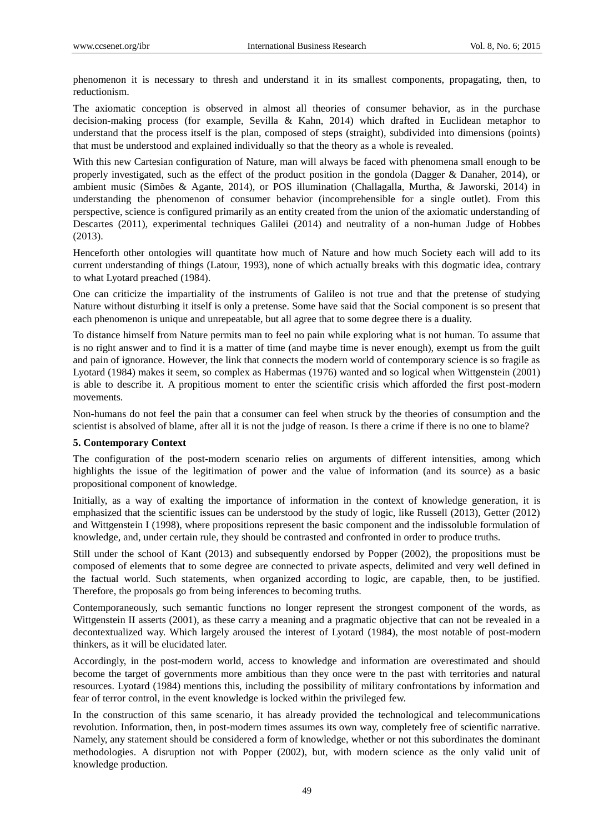phenomenon it is necessary to thresh and understand it in its smallest components, propagating, then, to reductionism.

The axiomatic conception is observed in almost all theories of consumer behavior, as in the purchase decision-making process (for example, Sevilla & Kahn, 2014) which drafted in Euclidean metaphor to understand that the process itself is the plan, composed of steps (straight), subdivided into dimensions (points) that must be understood and explained individually so that the theory as a whole is revealed.

With this new Cartesian configuration of Nature, man will always be faced with phenomena small enough to be properly investigated, such as the effect of the product position in the gondola (Dagger & Danaher, 2014), or ambient music (Simões & Agante, 2014), or POS illumination (Challagalla, Murtha, & Jaworski, 2014) in understanding the phenomenon of consumer behavior (incomprehensible for a single outlet). From this perspective, science is configured primarily as an entity created from the union of the axiomatic understanding of Descartes (2011), experimental techniques Galilei (2014) and neutrality of a non-human Judge of Hobbes (2013).

Henceforth other ontologies will quantitate how much of Nature and how much Society each will add to its current understanding of things (Latour, 1993), none of which actually breaks with this dogmatic idea, contrary to what Lyotard preached (1984).

One can criticize the impartiality of the instruments of Galileo is not true and that the pretense of studying Nature without disturbing it itself is only a pretense. Some have said that the Social component is so present that each phenomenon is unique and unrepeatable, but all agree that to some degree there is a duality.

To distance himself from Nature permits man to feel no pain while exploring what is not human. To assume that is no right answer and to find it is a matter of time (and maybe time is never enough), exempt us from the guilt and pain of ignorance. However, the link that connects the modern world of contemporary science is so fragile as Lyotard (1984) makes it seem, so complex as Habermas (1976) wanted and so logical when Wittgenstein (2001) is able to describe it. A propitious moment to enter the scientific crisis which afforded the first post-modern movements.

Non-humans do not feel the pain that a consumer can feel when struck by the theories of consumption and the scientist is absolved of blame, after all it is not the judge of reason. Is there a crime if there is no one to blame?

# **5. Contemporary Context**

The configuration of the post-modern scenario relies on arguments of different intensities, among which highlights the issue of the legitimation of power and the value of information (and its source) as a basic propositional component of knowledge.

Initially, as a way of exalting the importance of information in the context of knowledge generation, it is emphasized that the scientific issues can be understood by the study of logic, like Russell (2013), Getter (2012) and Wittgenstein I (1998), where propositions represent the basic component and the indissoluble formulation of knowledge, and, under certain rule, they should be contrasted and confronted in order to produce truths.

Still under the school of Kant (2013) and subsequently endorsed by Popper (2002), the propositions must be composed of elements that to some degree are connected to private aspects, delimited and very well defined in the factual world. Such statements, when organized according to logic, are capable, then, to be justified. Therefore, the proposals go from being inferences to becoming truths.

Contemporaneously, such semantic functions no longer represent the strongest component of the words, as Wittgenstein II asserts (2001), as these carry a meaning and a pragmatic objective that can not be revealed in a decontextualized way. Which largely aroused the interest of Lyotard (1984), the most notable of post-modern thinkers, as it will be elucidated later.

Accordingly, in the post-modern world, access to knowledge and information are overestimated and should become the target of governments more ambitious than they once were tn the past with territories and natural resources. Lyotard (1984) mentions this, including the possibility of military confrontations by information and fear of terror control, in the event knowledge is locked within the privileged few.

In the construction of this same scenario, it has already provided the technological and telecommunications revolution. Information, then, in post-modern times assumes its own way, completely free of scientific narrative. Namely, any statement should be considered a form of knowledge, whether or not this subordinates the dominant methodologies. A disruption not with Popper (2002), but, with modern science as the only valid unit of knowledge production.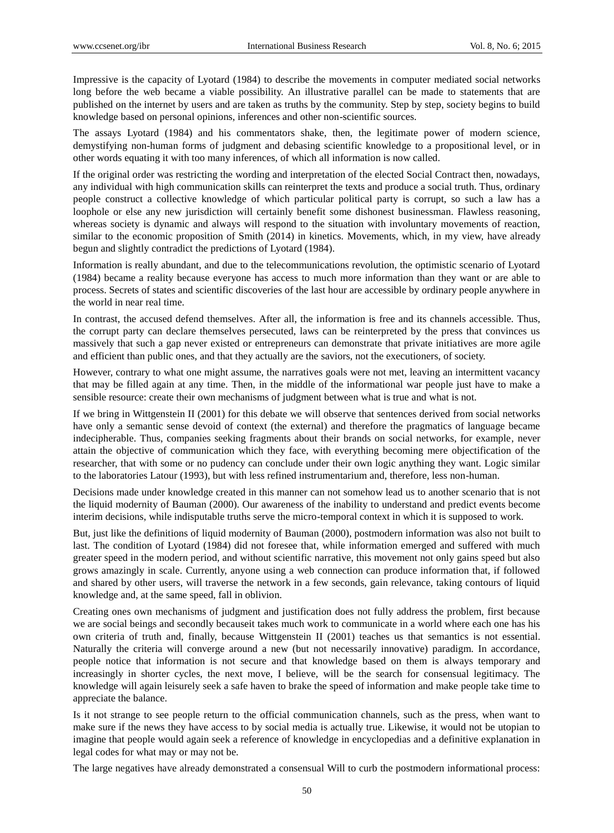Impressive is the capacity of Lyotard (1984) to describe the movements in computer mediated social networks long before the web became a viable possibility. An illustrative parallel can be made to statements that are published on the internet by users and are taken as truths by the community. Step by step, society begins to build knowledge based on personal opinions, inferences and other non-scientific sources.

The assays Lyotard (1984) and his commentators shake, then, the legitimate power of modern science, demystifying non-human forms of judgment and debasing scientific knowledge to a propositional level, or in other words equating it with too many inferences, of which all information is now called.

If the original order was restricting the wording and interpretation of the elected Social Contract then, nowadays, any individual with high communication skills can reinterpret the texts and produce a social truth. Thus, ordinary people construct a collective knowledge of which particular political party is corrupt, so such a law has a loophole or else any new jurisdiction will certainly benefit some dishonest businessman. Flawless reasoning, whereas society is dynamic and always will respond to the situation with involuntary movements of reaction, similar to the economic proposition of Smith (2014) in kinetics. Movements, which, in my view, have already begun and slightly contradict the predictions of Lyotard (1984).

Information is really abundant, and due to the telecommunications revolution, the optimistic scenario of Lyotard (1984) became a reality because everyone has access to much more information than they want or are able to process. Secrets of states and scientific discoveries of the last hour are accessible by ordinary people anywhere in the world in near real time.

In contrast, the accused defend themselves. After all, the information is free and its channels accessible. Thus, the corrupt party can declare themselves persecuted, laws can be reinterpreted by the press that convinces us massively that such a gap never existed or entrepreneurs can demonstrate that private initiatives are more agile and efficient than public ones, and that they actually are the saviors, not the executioners, of society.

However, contrary to what one might assume, the narratives goals were not met, leaving an intermittent vacancy that may be filled again at any time. Then, in the middle of the informational war people just have to make a sensible resource: create their own mechanisms of judgment between what is true and what is not.

If we bring in Wittgenstein II (2001) for this debate we will observe that sentences derived from social networks have only a semantic sense devoid of context (the external) and therefore the pragmatics of language became indecipherable. Thus, companies seeking fragments about their brands on social networks, for example, never attain the objective of communication which they face, with everything becoming mere objectification of the researcher, that with some or no pudency can conclude under their own logic anything they want. Logic similar to the laboratories Latour (1993), but with less refined instrumentarium and, therefore, less non-human.

Decisions made under knowledge created in this manner can not somehow lead us to another scenario that is not the liquid modernity of Bauman (2000). Our awareness of the inability to understand and predict events become interim decisions, while indisputable truths serve the micro-temporal context in which it is supposed to work.

But, just like the definitions of liquid modernity of Bauman (2000), postmodern information was also not built to last. The condition of Lyotard (1984) did not foresee that, while information emerged and suffered with much greater speed in the modern period, and without scientific narrative, this movement not only gains speed but also grows amazingly in scale. Currently, anyone using a web connection can produce information that, if followed and shared by other users, will traverse the network in a few seconds, gain relevance, taking contours of liquid knowledge and, at the same speed, fall in oblivion.

Creating ones own mechanisms of judgment and justification does not fully address the problem, first because we are social beings and secondly becauseit takes much work to communicate in a world where each one has his own criteria of truth and, finally, because Wittgenstein II (2001) teaches us that semantics is not essential. Naturally the criteria will converge around a new (but not necessarily innovative) paradigm. In accordance, people notice that information is not secure and that knowledge based on them is always temporary and increasingly in shorter cycles, the next move, I believe, will be the search for consensual legitimacy. The knowledge will again leisurely seek a safe haven to brake the speed of information and make people take time to appreciate the balance.

Is it not strange to see people return to the official communication channels, such as the press, when want to make sure if the news they have access to by social media is actually true. Likewise, it would not be utopian to imagine that people would again seek a reference of knowledge in encyclopedias and a definitive explanation in legal codes for what may or may not be.

The large negatives have already demonstrated a consensual Will to curb the postmodern informational process: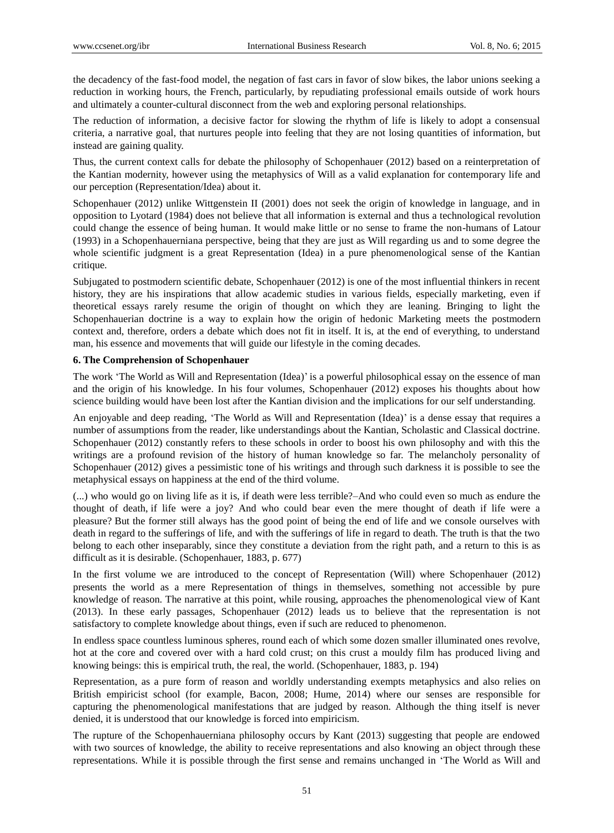the decadency of the fast-food model, the negation of fast cars in favor of slow bikes, the labor unions seeking a reduction in working hours, the French, particularly, by repudiating professional emails outside of work hours and ultimately a counter-cultural disconnect from the web and exploring personal relationships.

The reduction of information, a decisive factor for slowing the rhythm of life is likely to adopt a consensual criteria, a narrative goal, that nurtures people into feeling that they are not losing quantities of information, but instead are gaining quality.

Thus, the current context calls for debate the philosophy of Schopenhauer (2012) based on a reinterpretation of the Kantian modernity, however using the metaphysics of Will as a valid explanation for contemporary life and our perception (Representation/Idea) about it.

Schopenhauer (2012) unlike Wittgenstein II (2001) does not seek the origin of knowledge in language, and in opposition to Lyotard (1984) does not believe that all information is external and thus a technological revolution could change the essence of being human. It would make little or no sense to frame the non-humans of Latour (1993) in a Schopenhauerniana perspective, being that they are just as Will regarding us and to some degree the whole scientific judgment is a great Representation (Idea) in a pure phenomenological sense of the Kantian critique.

Subjugated to postmodern scientific debate, Schopenhauer (2012) is one of the most influential thinkers in recent history, they are his inspirations that allow academic studies in various fields, especially marketing, even if theoretical essays rarely resume the origin of thought on which they are leaning. Bringing to light the Schopenhauerian doctrine is a way to explain how the origin of hedonic Marketing meets the postmodern context and, therefore, orders a debate which does not fit in itself. It is, at the end of everything, to understand man, his essence and movements that will guide our lifestyle in the coming decades.

#### **6. The Comprehension of Schopenhauer**

The work ‗The World as Will and Representation (Idea)' is a powerful philosophical essay on the essence of man and the origin of his knowledge. In his four volumes, Schopenhauer (2012) exposes his thoughts about how science building would have been lost after the Kantian division and the implications for our self understanding.

An enjoyable and deep reading, 'The World as Will and Representation (Idea)' is a dense essay that requires a number of assumptions from the reader, like understandings about the Kantian, Scholastic and Classical doctrine. Schopenhauer (2012) constantly refers to these schools in order to boost his own philosophy and with this the writings are a profound revision of the history of human knowledge so far. The melancholy personality of Schopenhauer (2012) gives a pessimistic tone of his writings and through such darkness it is possible to see the metaphysical essays on happiness at the end of the third volume.

(...) who would go on living life as it is, if death were less terrible?–And who could even so much as endure the thought of death, if life were a joy? And who could bear even the mere thought of death if life were a pleasure? But the former still always has the good point of being the end of life and we console ourselves with death in regard to the sufferings of life, and with the sufferings of life in regard to death. The truth is that the two belong to each other inseparably, since they constitute a deviation from the right path, and a return to this is as difficult as it is desirable. (Schopenhauer, 1883, p. 677)

In the first volume we are introduced to the concept of Representation (Will) where Schopenhauer (2012) presents the world as a mere Representation of things in themselves, something not accessible by pure knowledge of reason. The narrative at this point, while rousing, approaches the phenomenological view of Kant (2013). In these early passages, Schopenhauer (2012) leads us to believe that the representation is not satisfactory to complete knowledge about things, even if such are reduced to phenomenon.

In endless space countless luminous spheres, round each of which some dozen smaller illuminated ones revolve, hot at the core and covered over with a hard cold crust; on this crust a mouldy film has produced living and knowing beings: this is empirical truth, the real, the world. (Schopenhauer, 1883, p. 194)

Representation, as a pure form of reason and worldly understanding exempts metaphysics and also relies on British empiricist school (for example, Bacon, 2008; Hume, 2014) where our senses are responsible for capturing the phenomenological manifestations that are judged by reason. Although the thing itself is never denied, it is understood that our knowledge is forced into empiricism.

The rupture of the Schopenhauerniana philosophy occurs by Kant (2013) suggesting that people are endowed with two sources of knowledge, the ability to receive representations and also knowing an object through these representations. While it is possible through the first sense and remains unchanged in ‗The World as Will and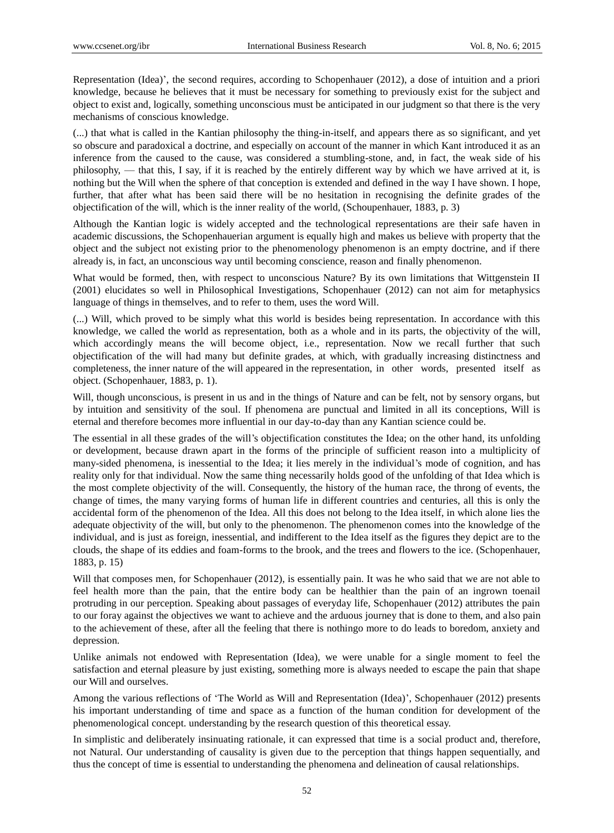Representation (Idea)', the second requires, according to Schopenhauer (2012), a dose of intuition and a priori knowledge, because he believes that it must be necessary for something to previously exist for the subject and object to exist and, logically, something unconscious must be anticipated in our judgment so that there is the very mechanisms of conscious knowledge.

(...) that what is called in the Kantian philosophy the thing-in-itself, and appears there as so significant, and yet so obscure and paradoxical a doctrine, and especially on account of the manner in which Kant introduced it as an inference from the caused to the cause, was considered a stumbling-stone, and, in fact, the weak side of his philosophy, — that this, I say, if it is reached by the entirely different way by which we have arrived at it, is nothing but the Will when the sphere of that conception is extended and defined in the way I have shown. I hope, further, that after what has been said there will be no hesitation in recognising the definite grades of the objectification of the will, which is the inner reality of the world, (Schoupenhauer, 1883, p. 3)

Although the Kantian logic is widely accepted and the technological representations are their safe haven in academic discussions, the Schopenhauerian argument is equally high and makes us believe with property that the object and the subject not existing prior to the phenomenology phenomenon is an empty doctrine, and if there already is, in fact, an unconscious way until becoming conscience, reason and finally phenomenon.

What would be formed, then, with respect to unconscious Nature? By its own limitations that Wittgenstein II (2001) elucidates so well in Philosophical Investigations, Schopenhauer (2012) can not aim for metaphysics language of things in themselves, and to refer to them, uses the word Will.

(...) Will, which proved to be simply what this world is besides being representation. In accordance with this knowledge, we called the world as representation, both as a whole and in its parts, the objectivity of the will, which accordingly means the will become object, i.e., representation. Now we recall further that such objectification of the will had many but definite grades, at which, with gradually increasing distinctness and completeness, the inner nature of the will appeared in the representation, in other words, presented itself as object. (Schopenhauer, 1883, p. 1).

Will, though unconscious, is present in us and in the things of Nature and can be felt, not by sensory organs, but by intuition and sensitivity of the soul. If phenomena are punctual and limited in all its conceptions, Will is eternal and therefore becomes more influential in our day-to-day than any Kantian science could be.

The essential in all these grades of the will's objectification constitutes the Idea; on the other hand, its unfolding or development, because drawn apart in the forms of the principle of sufficient reason into a multiplicity of many-sided phenomena, is inessential to the Idea; it lies merely in the individual's mode of cognition, and has reality only for that individual. Now the same thing necessarily holds good of the unfolding of that Idea which is the most complete objectivity of the will. Consequently, the history of the human race, the throng of events, the change of times, the many varying forms of human life in different countries and centuries, all this is only the accidental form of the phenomenon of the Idea. All this does not belong to the Idea itself, in which alone lies the adequate objectivity of the will, but only to the phenomenon. The phenomenon comes into the knowledge of the individual, and is just as foreign, inessential, and indifferent to the Idea itself as the figures they depict are to the clouds, the shape of its eddies and foam-forms to the brook, and the trees and flowers to the ice. (Schopenhauer, 1883, p. 15)

Will that composes men, for Schopenhauer (2012), is essentially pain. It was he who said that we are not able to feel health more than the pain, that the entire body can be healthier than the pain of an ingrown toenail protruding in our perception. Speaking about passages of everyday life, Schopenhauer (2012) attributes the pain to our foray against the objectives we want to achieve and the arduous journey that is done to them, and also pain to the achievement of these, after all the feeling that there is nothingo more to do leads to boredom, anxiety and depression.

Unlike animals not endowed with Representation (Idea), we were unable for a single moment to feel the satisfaction and eternal pleasure by just existing, something more is always needed to escape the pain that shape our Will and ourselves.

Among the various reflections of 'The World as Will and Representation (Idea)', Schopenhauer (2012) presents his important understanding of time and space as a function of the human condition for development of the phenomenological concept. understanding by the research question of this theoretical essay.

In simplistic and deliberately insinuating rationale, it can expressed that time is a social product and, therefore, not Natural. Our understanding of causality is given due to the perception that things happen sequentially, and thus the concept of time is essential to understanding the phenomena and delineation of causal relationships.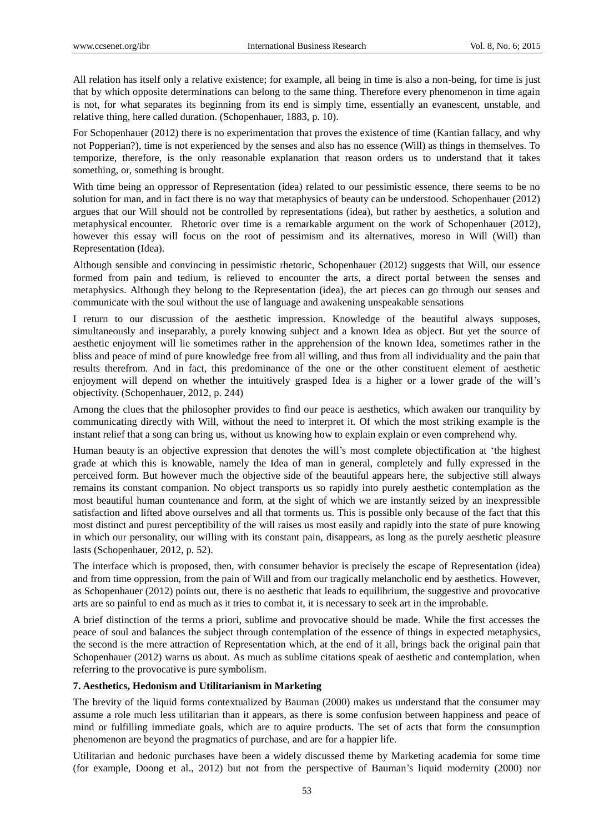All relation has itself only a relative existence; for example, all being in time is also a non-being, for time is just that by which opposite determinations can belong to the same thing. Therefore every phenomenon in time again is not, for what separates its beginning from its end is simply time, essentially an evanescent, unstable, and relative thing, here called duration. (Schopenhauer, 1883, p. 10).

For Schopenhauer (2012) there is no experimentation that proves the existence of time (Kantian fallacy, and why not Popperian?), time is not experienced by the senses and also has no essence (Will) as things in themselves. To temporize, therefore, is the only reasonable explanation that reason orders us to understand that it takes something, or, something is brought.

With time being an oppressor of Representation (idea) related to our pessimistic essence, there seems to be no solution for man, and in fact there is no way that metaphysics of beauty can be understood. Schopenhauer (2012) argues that our Will should not be controlled by representations (idea), but rather by aesthetics, a solution and metaphysical encounter. Rhetoric over time is a remarkable argument on the work of Schopenhauer (2012), however this essay will focus on the root of pessimism and its alternatives, moreso in Will (Will) than Representation (Idea).

Although sensible and convincing in pessimistic rhetoric, Schopenhauer (2012) suggests that Will, our essence formed from pain and tedium, is relieved to encounter the arts, a direct portal between the senses and metaphysics. Although they belong to the Representation (idea), the art pieces can go through our senses and communicate with the soul without the use of language and awakening unspeakable sensations

I return to our discussion of the aesthetic impression. Knowledge of the beautiful always supposes, simultaneously and inseparably, a purely knowing subject and a known Idea as object. But yet the source of aesthetic enjoyment will lie sometimes rather in the apprehension of the known Idea, sometimes rather in the bliss and peace of mind of pure knowledge free from all willing, and thus from all individuality and the pain that results therefrom. And in fact, this predominance of the one or the other constituent element of aesthetic enjoyment will depend on whether the intuitively grasped Idea is a higher or a lower grade of the will's objectivity. (Schopenhauer, 2012, p. 244)

Among the clues that the philosopher provides to find our peace is aesthetics, which awaken our tranquility by communicating directly with Will, without the need to interpret it. Of which the most striking example is the instant relief that a song can bring us, without us knowing how to explain explain or even comprehend why.

Human beauty is an objective expression that denotes the will's most complete objectification at 'the highest grade at which this is knowable, namely the Idea of man in general, completely and fully expressed in the perceived form. But however much the objective side of the beautiful appears here, the subjective still always remains its constant companion. No object transports us so rapidly into purely aesthetic contemplation as the most beautiful human countenance and form, at the sight of which we are instantly seized by an inexpressible satisfaction and lifted above ourselves and all that torments us. This is possible only because of the fact that this most distinct and purest perceptibility of the will raises us most easily and rapidly into the state of pure knowing in which our personality, our willing with its constant pain, disappears, as long as the purely aesthetic pleasure lasts (Schopenhauer, 2012, p. 52).

The interface which is proposed, then, with consumer behavior is precisely the escape of Representation (idea) and from time oppression, from the pain of Will and from our tragically melancholic end by aesthetics. However, as Schopenhauer (2012) points out, there is no aesthetic that leads to equilibrium, the suggestive and provocative arts are so painful to end as much as it tries to combat it, it is necessary to seek art in the improbable.

A brief distinction of the terms a priori, sublime and provocative should be made. While the first accesses the peace of soul and balances the subject through contemplation of the essence of things in expected metaphysics, the second is the mere attraction of Representation which, at the end of it all, brings back the original pain that Schopenhauer (2012) warns us about. As much as sublime citations speak of aesthetic and contemplation, when referring to the provocative is pure symbolism.

#### **7. Aesthetics, Hedonism and Utilitarianism in Marketing**

The brevity of the liquid forms contextualized by Bauman (2000) makes us understand that the consumer may assume a role much less utilitarian than it appears, as there is some confusion between happiness and peace of mind or fulfilling immediate goals, which are to aquire products. The set of acts that form the consumption phenomenon are beyond the pragmatics of purchase, and are for a happier life.

Utilitarian and hedonic purchases have been a widely discussed theme by Marketing academia for some time (for example, Doong et al., 2012) but not from the perspective of Bauman's liquid modernity (2000) nor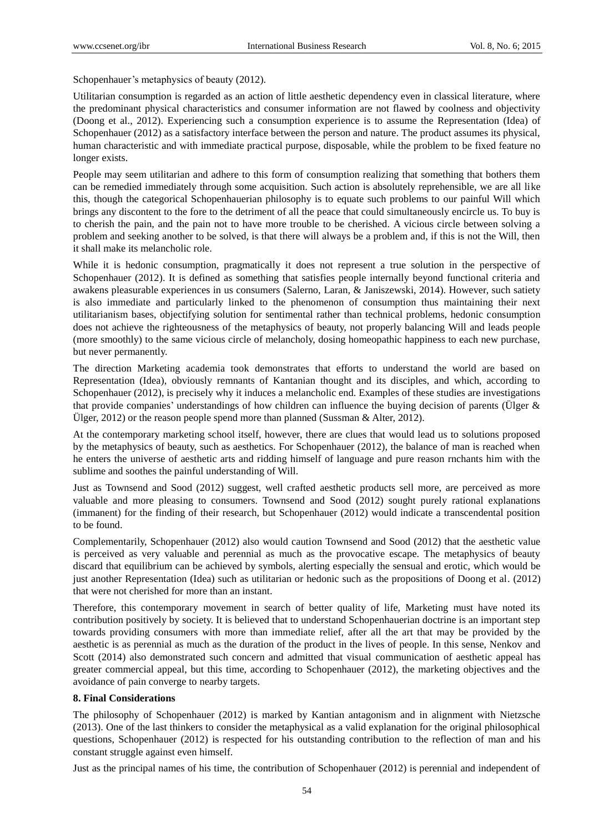Schopenhauer's metaphysics of beauty (2012).

Utilitarian consumption is regarded as an action of little aesthetic dependency even in classical literature, where the predominant physical characteristics and consumer information are not flawed by coolness and objectivity (Doong et al., 2012). Experiencing such a consumption experience is to assume the Representation (Idea) of Schopenhauer (2012) as a satisfactory interface between the person and nature. The product assumes its physical, human characteristic and with immediate practical purpose, disposable, while the problem to be fixed feature no longer exists.

People may seem utilitarian and adhere to this form of consumption realizing that something that bothers them can be remedied immediately through some acquisition. Such action is absolutely reprehensible, we are all like this, though the categorical Schopenhauerian philosophy is to equate such problems to our painful Will which brings any discontent to the fore to the detriment of all the peace that could simultaneously encircle us. To buy is to cherish the pain, and the pain not to have more trouble to be cherished. A vicious circle between solving a problem and seeking another to be solved, is that there will always be a problem and, if this is not the Will, then it shall make its melancholic role.

While it is hedonic consumption, pragmatically it does not represent a true solution in the perspective of Schopenhauer (2012). It is defined as something that satisfies people internally beyond functional criteria and awakens pleasurable experiences in us consumers (Salerno, Laran, & Janiszewski, 2014). However, such satiety is also immediate and particularly linked to the phenomenon of consumption thus maintaining their next utilitarianism bases, objectifying solution for sentimental rather than technical problems, hedonic consumption does not achieve the righteousness of the metaphysics of beauty, not properly balancing Will and leads people (more smoothly) to the same vicious circle of melancholy, dosing homeopathic happiness to each new purchase, but never permanently.

The direction Marketing academia took demonstrates that efforts to understand the world are based on Representation (Idea), obviously remnants of Kantanian thought and its disciples, and which, according to Schopenhauer (2012), is precisely why it induces a melancholic end. Examples of these studies are investigations that provide companies' understandings of how children can influence the buying decision of parents (Ülger & Ülger, 2012) or the reason people spend more than planned (Sussman & Alter, 2012).

At the contemporary marketing school itself, however, there are clues that would lead us to solutions proposed by the metaphysics of beauty, such as aesthetics. For Schopenhauer (2012), the balance of man is reached when he enters the universe of aesthetic arts and ridding himself of language and pure reason rnchants him with the sublime and soothes the painful understanding of Will.

Just as Townsend and Sood (2012) suggest, well crafted aesthetic products sell more, are perceived as more valuable and more pleasing to consumers. Townsend and Sood (2012) sought purely rational explanations (immanent) for the finding of their research, but Schopenhauer (2012) would indicate a transcendental position to be found.

Complementarily, Schopenhauer (2012) also would caution Townsend and Sood (2012) that the aesthetic value is perceived as very valuable and perennial as much as the provocative escape. The metaphysics of beauty discard that equilibrium can be achieved by symbols, alerting especially the sensual and erotic, which would be just another Representation (Idea) such as utilitarian or hedonic such as the propositions of Doong et al. (2012) that were not cherished for more than an instant.

Therefore, this contemporary movement in search of better quality of life, Marketing must have noted its contribution positively by society. It is believed that to understand Schopenhauerian doctrine is an important step towards providing consumers with more than immediate relief, after all the art that may be provided by the aesthetic is as perennial as much as the duration of the product in the lives of people. In this sense, Nenkov and Scott (2014) also demonstrated such concern and admitted that visual communication of aesthetic appeal has greater commercial appeal, but this time, according to Schopenhauer (2012), the marketing objectives and the avoidance of pain converge to nearby targets.

# **8. Final Considerations**

The philosophy of Schopenhauer (2012) is marked by Kantian antagonism and in alignment with Nietzsche (2013). One of the last thinkers to consider the metaphysical as a valid explanation for the original philosophical questions, Schopenhauer (2012) is respected for his outstanding contribution to the reflection of man and his constant struggle against even himself.

Just as the principal names of his time, the contribution of Schopenhauer (2012) is perennial and independent of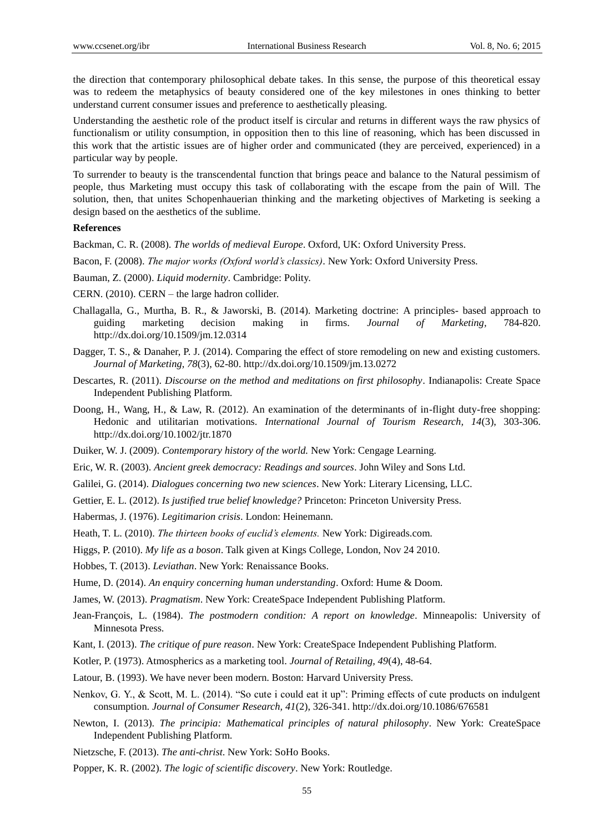the direction that contemporary philosophical debate takes. In this sense, the purpose of this theoretical essay was to redeem the metaphysics of beauty considered one of the key milestones in ones thinking to better understand current consumer issues and preference to aesthetically pleasing.

Understanding the aesthetic role of the product itself is circular and returns in different ways the raw physics of functionalism or utility consumption, in opposition then to this line of reasoning, which has been discussed in this work that the artistic issues are of higher order and communicated (they are perceived, experienced) in a particular way by people.

To surrender to beauty is the transcendental function that brings peace and balance to the Natural pessimism of people, thus Marketing must occupy this task of collaborating with the escape from the pain of Will. The solution, then, that unites Schopenhauerian thinking and the marketing objectives of Marketing is seeking a design based on the aesthetics of the sublime.

#### **References**

Backman, C. R. (2008). *The worlds of medieval Europe*. Oxford, UK: Oxford University Press.

Bacon, F. (2008). *The major works (Oxford world's classics)*. New York: Oxford University Press.

Bauman, Z. (2000). *Liquid modernity*. Cambridge: Polity.

CERN. (2010). CERN – the large hadron collider.

- Challagalla, G., Murtha, B. R., & Jaworski, B. (2014). Marketing doctrine: A principles- based approach to guiding marketing decision making in firms. *Journal of Marketing,* 784-820. http://dx.doi.org/10.1509/jm.12.0314
- Dagger, T. S., & Danaher, P. J. (2014). Comparing the effect of store remodeling on new and existing customers. *Journal of Marketing, 78*(3), 62-80. http://dx.doi.org/10.1509/jm.13.0272
- Descartes, R. (2011). *Discourse on the method and meditations on first philosophy*. Indianapolis: Create Space Independent Publishing Platform.
- Doong, H., Wang, H., & Law, R. (2012). An examination of the determinants of in-flight duty-free shopping: Hedonic and utilitarian motivations. *International Journal of Tourism Research, 14*(3), 303-306. http://dx.doi.org/10.1002/jtr.1870
- Duiker, W. J. (2009). *Contemporary history of the world.* New York: Cengage Learning.
- Eric, W. R. (2003). *Ancient greek democracy: Readings and sources*. John Wiley and Sons Ltd.
- Galilei, G. (2014). *Dialogues concerning two new sciences*. New York: Literary Licensing, LLC.
- Gettier, E. L. (2012). *Is justified true belief knowledge?* Princeton: Princeton University Press.

Habermas, J. (1976). *Legitimarion crisis*. London: Heinemann.

- Heath, T. L. (2010). *The thirteen books of euclid's elements.* New York: Digireads.com.
- Higgs, P. (2010). *My life as a boson*. Talk given at Kings College, London, Nov 24 2010.
- Hobbes, T. (2013). *Leviathan*. New York: Renaissance Books.
- Hume, D. (2014). *An enquiry concerning human understanding*. Oxford: Hume & Doom.
- James, W. (2013). *Pragmatism*. New York: CreateSpace Independent Publishing Platform.
- Jean-François, L. (1984). *The postmodern condition: A report on knowledge*. Minneapolis: University of Minnesota Press.
- Kant, I. (2013). *The critique of pure reason*. New York: CreateSpace Independent Publishing Platform.
- Kotler, P. (1973). Atmospherics as a marketing tool. *Journal of Retailing, 49*(4), 48-64.
- Latour, B. (1993). We have never been modern. Boston: Harvard University Press.
- Nenkov, G. Y., & Scott, M. L. (2014). "So cute i could eat it up": Priming effects of cute products on indulgent consumption. *Journal of Consumer Research, 41*(2), 326-341. http://dx.doi.org/10.1086/676581
- Newton, I. (2013). *The principia: Mathematical principles of natural philosophy*. New York: CreateSpace Independent Publishing Platform.
- Nietzsche, F. (2013). *The anti-christ*. New York: SoHo Books.
- Popper, K. R. (2002). *The logic of scientific discovery*. New York: Routledge.